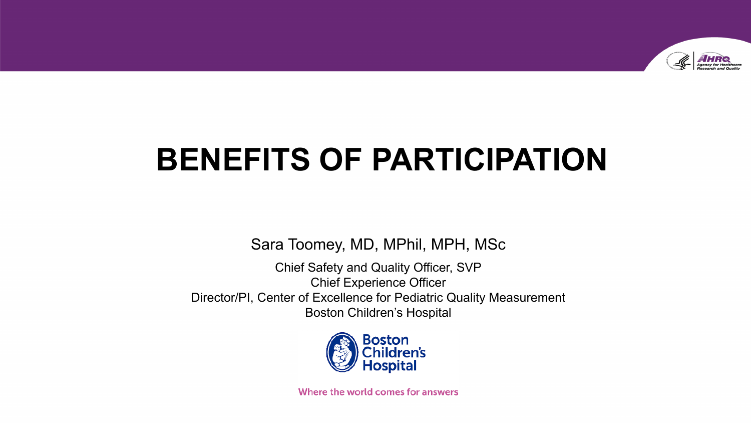

# **BENEFITS OF PARTICIPATION**

Sara Toomey, MD, MPhil, MPH, MSc

Chief Safety and Quality Officer, SVP Chief Experience Officer Director/PI, Center of Excellence for Pediatric Quality Measurement Boston Children's Hospital



Where the world comes for answers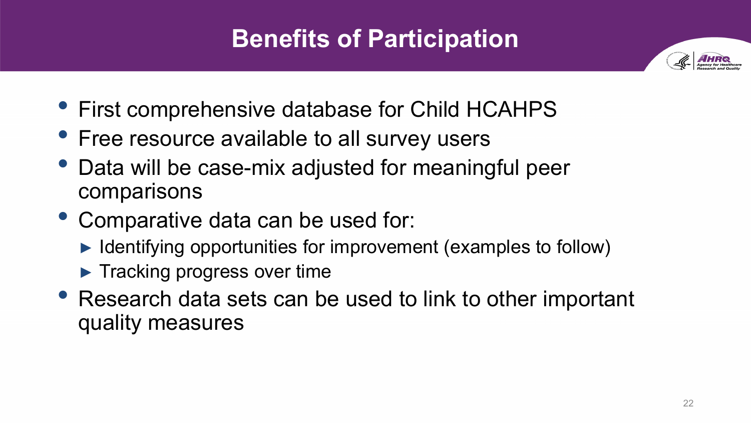### **Benefits of Participation**



- First comprehensive database for Child HCAHPS
- Free resource available to all survey users
- Data will be case-mix adjusted for meaningful peer comparisons
- Comparative data can be used for:
	- ► Identifying opportunities for improvement (examples to follow)
	- ► Tracking progress over time
- Research data sets can be used to link to other important quality measures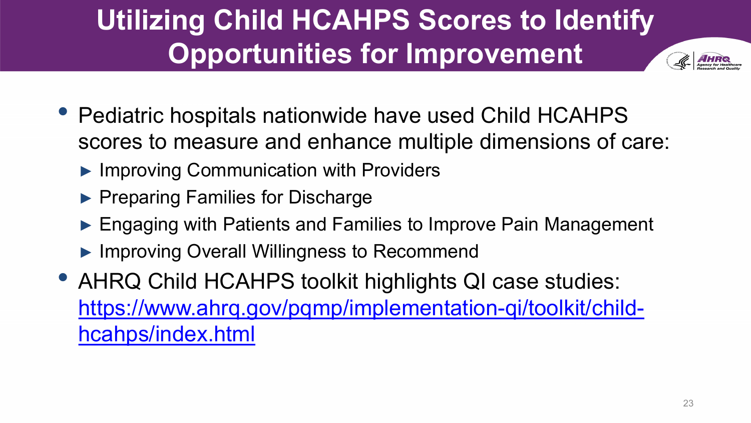## **Utilizing Child HCAHPS Scores to Identify Opportunities for Improvement**

- Pediatric hospitals nationwide have used Child HCAHPS scores to measure and enhance multiple dimensions of care:
	- ► Improving Communication with Providers
	- ▶ Preparing Families for Discharge
	- ► Engaging with Patients and Families to Improve Pain Management
	- ► Improving Overall Willingness to Recommend
- AHRQ Child HCAHPS toolkit highlights QI case studies: [https://www.ahrq.gov/pqmp/implementation-qi/toolkit/child](https://www.ahrq.gov/pqmp/implementation-qi/toolkit/child-hcahps/index.html)hcahps/index.html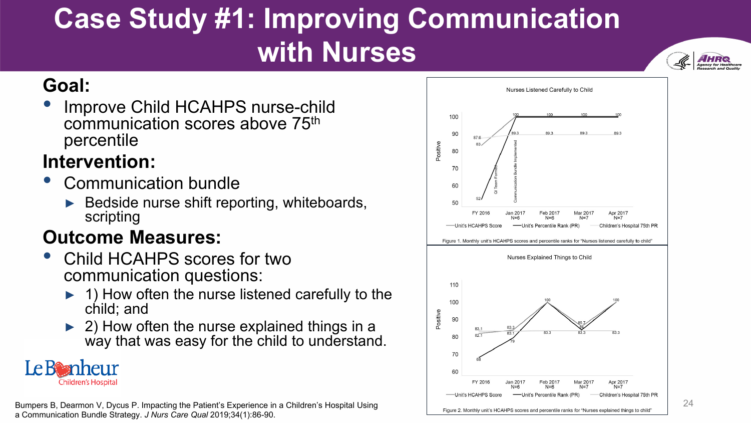## **Case Study #1: Improving Communication with Nurses**



#### **Goal:**

Improve Child HCAHPS nurse-child communication scores above 75th percentile

#### **Intervention:**

- Communication bundle
	- Bedside nurse shift reporting, whiteboards, scripting

#### **Outcome Measures:**

- Child HCAHPS scores for two communication questions:
	- 1) How often the nurse listened carefully to the child; and
	- ► 2) How often the nurse explained things in a way that was easy for the child to understand.



Bumpers B, Dearmon V, Dycus P. Impacting the Patient's Experience in a Children's Hospital Using a Communication Bundle Strategy. *J Nurs Care Qual* 2019;34(1):86-90.